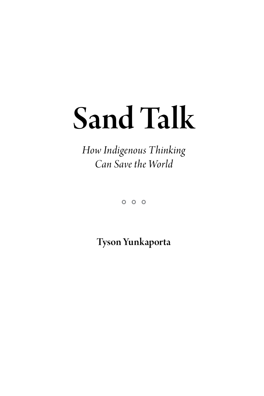## Sand Talk

*How Indigenous Thinking Can Save the World*

o o o

Tyson Yunkaporta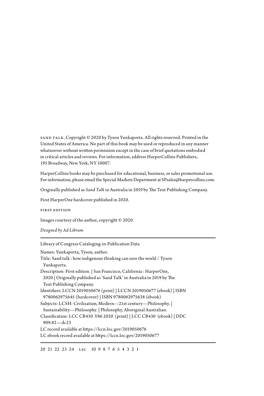sand TALK. Copyright © 2020 by Tyson Yunkaporta. All rights reserved. Printed in the United States of America. No part of this book may be used or reproduced in any manner whatsoever without written permission except in the case of brief quotations embodied in critical articles and reviews. For information, address HarperCollins Publishers, 195 Broadway, New York, NY 10007.

HarperCollins books may be purchased for educational, business, or sales promotional use. For information, please email the Special Markets Department at SPsales@harpercollins.com.

Originally published as *Sand Talk* in Australia in 2019 by The Text Publishing Company.

First HarperOne hardcover published in 2020.

first edition

Images courtesy of the author, copyright © 2020.

*Designed by Ad Librum*

Library of Congress Cataloging-in-Publication Data

| Names: Yunkaporta, Tyson, author.                                      |
|------------------------------------------------------------------------|
| Title: Sand talk : how indigenous thinking can save the world / Tyson  |
| Yunkaporta.                                                            |
| Description: First edition.   San Francisco, California : HarperOne,   |
| 2020   Originally published as 'Sand Talk' in Australia in 2019 by The |
| Text Publishing Company.                                               |
| Identifiers: LCCN 2019050676 (print)   LCCN 2019050677 (ebook)   ISBN  |
| 9780062975645 (hardcover)   ISBN 9780062975638 (ebook)                 |
| Subjects: LCSH: Civilization, Modern-21st century-Philosophy.          |
| Sustainability-Philosophy.   Philosophy, Aboriginal Australian.        |
| Classification: LCC CB430 .Y86 2020 (print)   LCC CB430 (ebook)   DDC  |
| $909.82 - dc23$                                                        |
| LC record available at https://lccn.loc.gov/2019050676                 |
| LC ebook record available at https://lccn.loc.gov/2019050677           |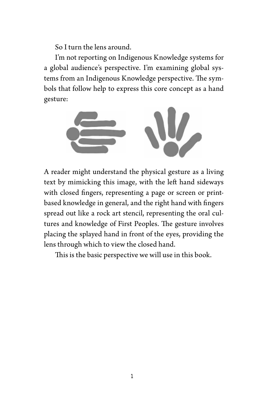So I turn the lens around.

I'm not reporting on Indigenous Knowledge systems for a global audience's perspective. I'm examining global systems from an Indigenous Knowledge perspective. The symbols that follow help to express this core concept as a hand gesture:



A reader might understand the physical gesture as a living text by mimicking this image, with the left hand sideways with closed fingers, representing a page or screen or printbased knowledge in general, and the right hand with fingers spread out like a rock art stencil, representing the oral cultures and knowledge of First Peoples. The gesture involves placing the splayed hand in front of the eyes, providing the lens through which to view the closed hand.

This is the basic perspective we will use in this book.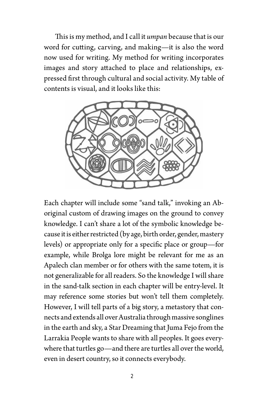This is my method, and I call it *umpan* because that is our word for cutting, carving, and making—it is also the word now used for writing. My method for writing incorporates images and story attached to place and relationships, expressed first through cultural and social activity. My table of contents is visual, and it looks like this:



Each chapter will include some "sand talk," invoking an Aboriginal custom of drawing images on the ground to convey knowledge. I can't share a lot of the symbolic knowledge because it is either restricted (by age, birth order, gender, mastery levels) or appropriate only for a specific place or group—for example, while Brolga lore might be relevant for me as an Apalech clan member or for others with the same totem, it is not generalizable for all readers. So the knowledge I will share in the sand-talk section in each chapter will be entry-level. It may reference some stories but won't tell them completely. However, I will tell parts of a big story, a metastory that connects and extends all over Australia through massive songlines in the earth and sky, a Star Dreaming that Juma Fejo from the Larrakia People wants to share with all peoples. It goes everywhere that turtles go—and there are turtles all over the world, even in desert country, so it connects everybody.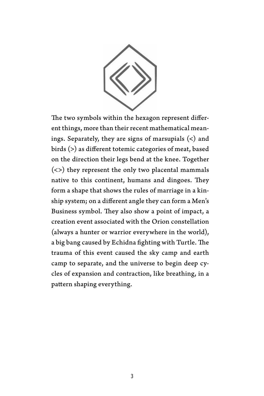

The two symbols within the hexagon represent different things, more than their recent mathematical meanings. Separately, they are signs of marsupials  $(\le)$  and birds (>) as different totemic categories of meat, based on the direction their legs bend at the knee. Together (<>) they represent the only two placental mammals native to this continent, humans and dingoes. They form a shape that shows the rules of marriage in a kinship system; on a different angle they can form a Men's Business symbol. They also show a point of impact, a creation event associated with the Orion constellation (always a hunter or warrior everywhere in the world), a big bang caused by Echidna fighting with Turtle. The trauma of this event caused the sky camp and earth camp to separate, and the universe to begin deep cycles of expansion and contraction, like breathing, in a pattern shaping everything.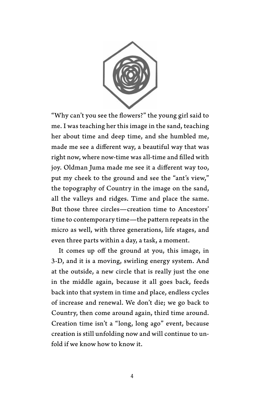

"Why can't you see the flowers?" the young girl said to me. I was teaching her this image in the sand, teaching her about time and deep time, and she humbled me, made me see a different way, a beautiful way that was right now, where now-time was all-time and filled with joy. Oldman Juma made me see it a different way too, put my cheek to the ground and see the "ant's view," the topography of Country in the image on the sand, all the valleys and ridges. Time and place the same. But those three circles—creation time to Ancestors' time to contemporary time—the pattern repeats in the micro as well, with three generations, life stages, and even three parts within a day, a task, a moment.

It comes up off the ground at you, this image, in 3-D, and it is a moving, swirling energy system. And at the outside, a new circle that is really just the one in the middle again, because it all goes back, feeds back into that system in time and place, endless cycles of increase and renewal. We don't die; we go back to Country, then come around again, third time around. Creation time isn't a "long, long ago" event, because creation is still unfolding now and will continue to unfold if we know how to know it.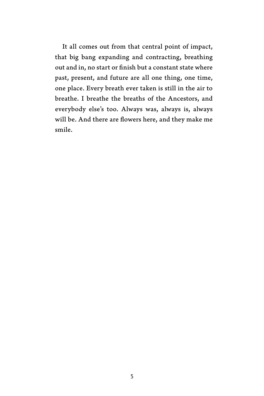It all comes out from that central point of impact, that big bang expanding and contracting, breathing out and in, no start or finish but a constant state where past, present, and future are all one thing, one time, one place. Every breath ever taken is still in the air to breathe. I breathe the breaths of the Ancestors, and everybody else's too. Always was, always is, always will be. And there are flowers here, and they make me smile.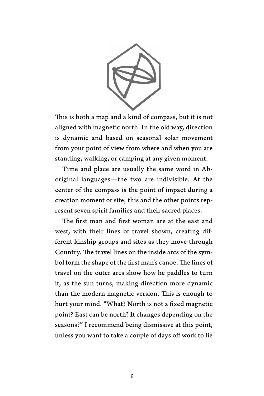

This is both a map and a kind of compass, but it is not aligned with magnetic north. In the old way, direction is dynamic and based on seasonal solar movement from your point of view from where and when you are standing, walking, or camping at any given moment.

Time and place are usually the same word in Aboriginal languages—the two are indivisible. At the center of the compass is the point of impact during a creation moment or site; this and the other points represent seven spirit families and their sacred places.

The first man and first woman are at the east and west, with their lines of travel shown, creating different kinship groups and sites as they move through Country. The travel lines on the inside arcs of the symbol form the shape of the first man's canoe. The lines of travel on the outer arcs show how he paddles to turn it, as the sun turns, making direction more dynamic than the modern magnetic version. This is enough to hurt your mind. "What? North is not a fixed magnetic point? East can be north? It changes depending on the seasons?" I recommend being dismissive at this point, unless you want to take a couple of days off work to lie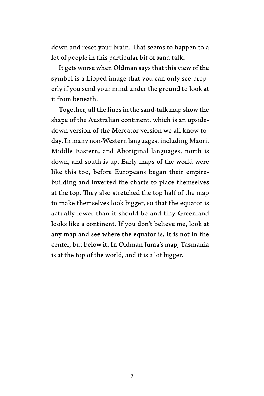down and reset your brain. That seems to happen to a lot of people in this particular bit of sand talk.

It gets worse when Oldman says that this view of the symbol is a flipped image that you can only see properly if you send your mind under the ground to look at it from beneath.

Together, all the lines in the sand-talk map show the shape of the Australian continent, which is an upsidedown version of the Mercator version we all know today. In many non-Western languages, including Maori, Middle Eastern, and Aboriginal languages, north is down, and south is up. Early maps of the world were like this too, before Europeans began their empirebuilding and inverted the charts to place themselves at the top. They also stretched the top half of the map to make themselves look bigger, so that the equator is actually lower than it should be and tiny Greenland looks like a continent. If you don't believe me, look at any map and see where the equator is. It is not in the center, but below it. In Oldman Juma's map, Tasmania is at the top of the world, and it is a lot bigger.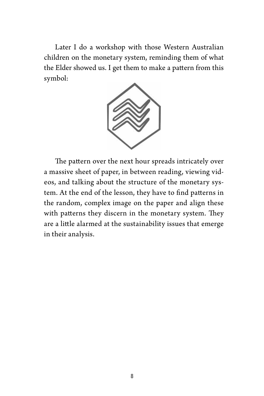Later I do a workshop with those Western Australian children on the monetary system, reminding them of what the Elder showed us. I get them to make a pattern from this symbol:



The pattern over the next hour spreads intricately over a massive sheet of paper, in between reading, viewing videos, and talking about the structure of the monetary system. At the end of the lesson, they have to find patterns in the random, complex image on the paper and align these with patterns they discern in the monetary system. They are a little alarmed at the sustainability issues that emerge in their analysis.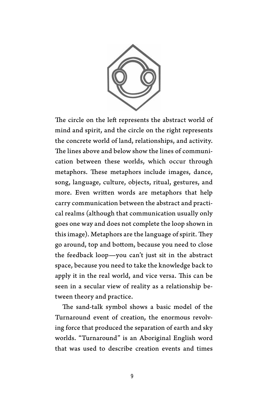

The circle on the left represents the abstract world of mind and spirit, and the circle on the right represents the concrete world of land, relationships, and activity. The lines above and below show the lines of communication between these worlds, which occur through metaphors. These metaphors include images, dance, song, language, culture, objects, ritual, gestures, and more. Even written words are metaphors that help carry communication between the abstract and practical realms (although that communication usually only goes one way and does not complete the loop shown in this image). Metaphors are the language of spirit. They go around, top and bottom, because you need to close the feedback loop—you can't just sit in the abstract space, because you need to take the knowledge back to apply it in the real world, and vice versa. This can be seen in a secular view of reality as a relationship between theory and practice.

The sand-talk symbol shows a basic model of the Turnaround event of creation, the enormous revolving force that produced the separation of earth and sky worlds. "Turnaround" is an Aboriginal English word that was used to describe creation events and times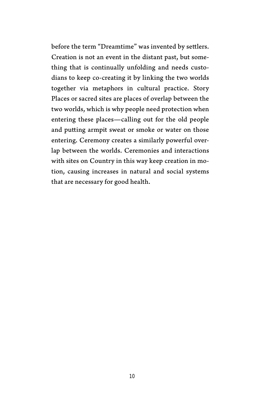before the term "Dreamtime" was invented by settlers. Creation is not an event in the distant past, but something that is continually unfolding and needs custodians to keep co-creating it by linking the two worlds together via metaphors in cultural practice. Story Places or sacred sites are places of overlap between the two worlds, which is why people need protection when entering these places—calling out for the old people and putting armpit sweat or smoke or water on those entering. Ceremony creates a similarly powerful overlap between the worlds. Ceremonies and interactions with sites on Country in this way keep creation in motion, causing increases in natural and social systems that are necessary for good health.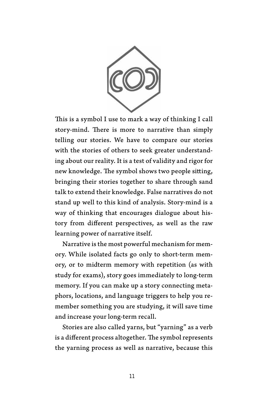

This is a symbol I use to mark a way of thinking I call story-mind. There is more to narrative than simply telling our stories. We have to compare our stories with the stories of others to seek greater understanding about our reality. It is a test of validity and rigor for new knowledge. The symbol shows two people sitting, bringing their stories together to share through sand talk to extend their knowledge. False narratives do not stand up well to this kind of analysis. Story-mind is a way of thinking that encourages dialogue about history from different perspectives, as well as the raw learning power of narrative itself.

Narrative is the most powerful mechanism for memory. While isolated facts go only to short-term memory, or to midterm memory with repetition (as with study for exams), story goes immediately to long-term memory. If you can make up a story connecting metaphors, locations, and language triggers to help you remember something you are studying, it will save time and increase your long-term recall.

Stories are also called yarns, but "yarning" as a verb is a different process altogether. The symbol represents the yarning process as well as narrative, because this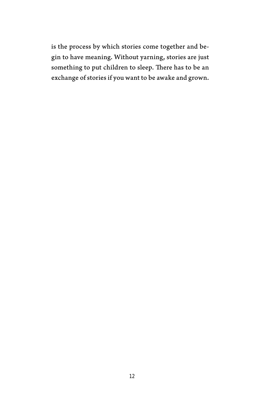is the process by which stories come together and begin to have meaning. Without yarning, stories are just something to put children to sleep. There has to be an exchange of stories if you want to be awake and grown.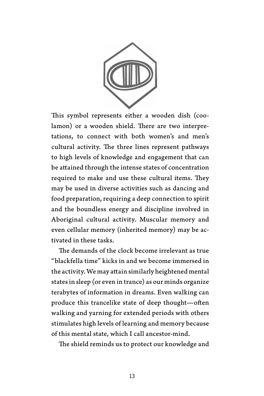

This symbol represents either a wooden dish (coolamon) or a wooden shield. There are two interpretations, to connect with both women's and men's cultural activity. The three lines represent pathways to high levels of knowledge and engagement that can be attained through the intense states of concentration required to make and use these cultural items. They may be used in diverse activities such as dancing and food preparation, requiring a deep connection to spirit and the boundless energy and discipline involved in Aboriginal cultural activity. Muscular memory and even cellular memory (inherited memory) may be activated in these tasks.

The demands of the clock become irrelevant as true "blackfella time" kicks in and we become immersed in the activity. We may attain similarly heightened mental states in sleep (or even in trance) as our minds organize terabytes of information in dreams. Even walking can produce this trancelike state of deep thought—often walking and yarning for extended periods with others stimulates high levels of learning and memory because of this mental state, which I call ancestor-mind.

The shield reminds us to protect our knowledge and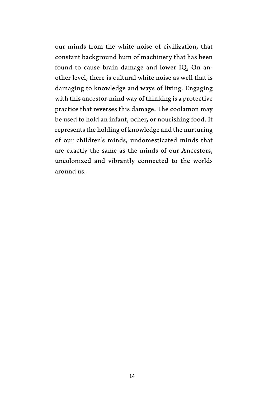our minds from the white noise of civilization, that constant background hum of machinery that has been found to cause brain damage and lower IQ. On another level, there is cultural white noise as well that is damaging to knowledge and ways of living. Engaging with this ancestor-mind way of thinking is a protective practice that reverses this damage. The coolamon may be used to hold an infant, ocher, or nourishing food. It represents the holding of knowledge and the nurturing of our children's minds, undomesticated minds that are exactly the same as the minds of our Ancestors, uncolonized and vibrantly connected to the worlds around us.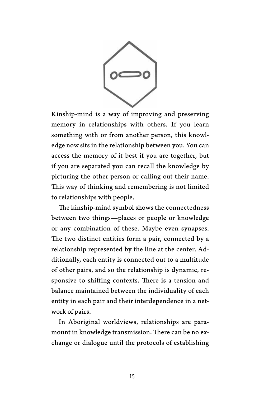

Kinship-mind is a way of improving and preserving memory in relationships with others. If you learn something with or from another person, this knowledge now sits in the relationship between you. You can access the memory of it best if you are together, but if you are separated you can recall the knowledge by picturing the other person or calling out their name. This way of thinking and remembering is not limited to relationships with people.

The kinship-mind symbol shows the connectedness between two things—places or people or knowledge or any combination of these. Maybe even synapses. The two distinct entities form a pair, connected by a relationship represented by the line at the center. Additionally, each entity is connected out to a multitude of other pairs, and so the relationship is dynamic, responsive to shifting contexts. There is a tension and balance maintained between the individuality of each entity in each pair and their interdependence in a network of pairs.

In Aboriginal worldviews, relationships are paramount in knowledge transmission. There can be no exchange or dialogue until the protocols of establishing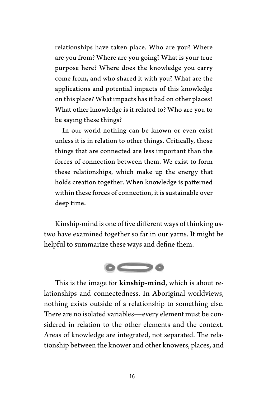relationships have taken place. Who are you? Where are you from? Where are you going? What is your true purpose here? Where does the knowledge you carry come from, and who shared it with you? What are the applications and potential impacts of this knowledge on this place? What impacts has it had on other places? What other knowledge is it related to? Who are you to be saying these things?

In our world nothing can be known or even exist unless it is in relation to other things. Critically, those things that are connected are less important than the forces of connection between them. We exist to form these relationships, which make up the energy that holds creation together. When knowledge is patterned within these forces of connection, it is sustainable over deep time.

Kinship-mind is one of five different ways of thinking ustwo have examined together so far in our yarns. It might be helpful to summarize these ways and define them.



This is the image for **kinship-mind**, which is about relationships and connectedness. In Aboriginal worldviews, nothing exists outside of a relationship to something else. There are no isolated variables—every element must be considered in relation to the other elements and the context. Areas of knowledge are integrated, not separated. The relationship between the knower and other knowers, places, and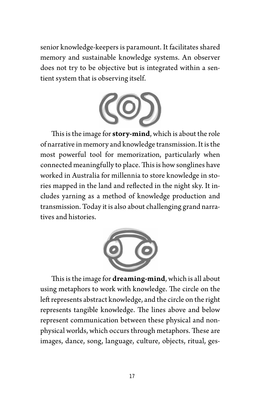senior knowledge-keepers is paramount. It facilitates shared memory and sustainable knowledge systems. An observer does not try to be objective but is integrated within a sentient system that is observing itself.



This is the image for **story-mind**, which is about the role of narrative in memory and knowledge transmission. It is the most powerful tool for memorization, particularly when connected meaningfully to place. This is how songlines have worked in Australia for millennia to store knowledge in stories mapped in the land and reflected in the night sky. It includes yarning as a method of knowledge production and transmission. Today it is also about challenging grand narratives and histories.



This is the image for **dreaming-mind**, which is all about using metaphors to work with knowledge. The circle on the left represents abstract knowledge, and the circle on the right represents tangible knowledge. The lines above and below represent communication between these physical and nonphysical worlds, which occurs through metaphors. These are images, dance, song, language, culture, objects, ritual, ges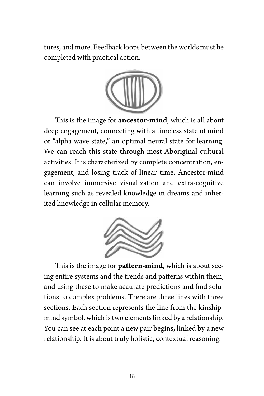tures, and more. Feedback loops between the worlds must be completed with practical action.



This is the image for **ancestor-mind**, which is all about deep engagement, connecting with a timeless state of mind or "alpha wave state," an optimal neural state for learning. We can reach this state through most Aboriginal cultural activities. It is characterized by complete concentration, engagement, and losing track of linear time. Ancestor-mind can involve immersive visualization and extra-cognitive learning such as revealed knowledge in dreams and inherited knowledge in cellular memory.



This is the image for pattern-mind, which is about seeing entire systems and the trends and patterns within them, and using these to make accurate predictions and find solutions to complex problems. There are three lines with three sections. Each section represents the line from the kinshipmind symbol, which is two elements linked by a relationship. You can see at each point a new pair begins, linked by a new relationship. It is about truly holistic, contextual reasoning.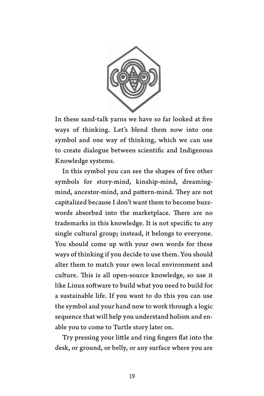

In these sand-talk yarns we have so far looked at five ways of thinking. Let's blend them now into one symbol and one way of thinking, which we can use to create dialogue between scientific and Indigenous Knowledge systems.

In this symbol you can see the shapes of five other symbols for story-mind, kinship-mind, dreamingmind, ancestor-mind, and pattern-mind. They are not capitalized because I don't want them to become buzzwords absorbed into the marketplace. There are no trademarks in this knowledge. It is not specific to any single cultural group; instead, it belongs to everyone. You should come up with your own words for these ways of thinking if you decide to use them. You should alter them to match your own local environment and culture. This is all open-source knowledge, so use it like Linux software to build what you need to build for a sustainable life. If you want to do this you can use the symbol and your hand now to work through a logic sequence that will help you understand holism and enable you to come to Turtle story later on.

Try pressing your little and ring fingers flat into the desk, or ground, or belly, or any surface where you are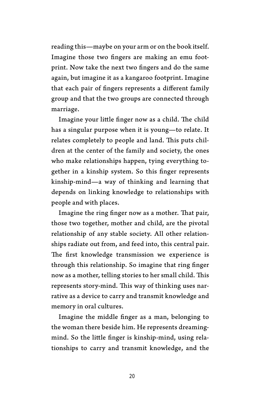reading this—maybe on your arm or on the book itself. Imagine those two fingers are making an emu footprint. Now take the next two fingers and do the same again, but imagine it as a kangaroo footprint. Imagine that each pair of fingers represents a different family group and that the two groups are connected through marriage.

Imagine your little finger now as a child. The child has a singular purpose when it is young—to relate. It relates completely to people and land. This puts children at the center of the family and society, the ones who make relationships happen, tying everything together in a kinship system. So this finger represents kinship-mind—a way of thinking and learning that depends on linking knowledge to relationships with people and with places.

Imagine the ring finger now as a mother. That pair, those two together, mother and child, are the pivotal relationship of any stable society. All other relationships radiate out from, and feed into, this central pair. The first knowledge transmission we experience is through this relationship. So imagine that ring finger now as a mother, telling stories to her small child. This represents story-mind. This way of thinking uses narrative as a device to carry and transmit knowledge and memory in oral cultures.

Imagine the middle finger as a man, belonging to the woman there beside him. He represents dreamingmind. So the little finger is kinship-mind, using relationships to carry and transmit knowledge, and the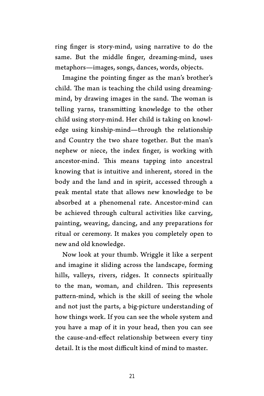ring finger is story-mind, using narrative to do the same. But the middle finger, dreaming-mind, uses metaphors—images, songs, dances, words, objects.

Imagine the pointing finger as the man's brother's child. The man is teaching the child using dreamingmind, by drawing images in the sand. The woman is telling yarns, transmitting knowledge to the other child using story-mind. Her child is taking on knowledge using kinship-mind—through the relationship and Country the two share together. But the man's nephew or niece, the index finger, is working with ancestor-mind. This means tapping into ancestral knowing that is intuitive and inherent, stored in the body and the land and in spirit, accessed through a peak mental state that allows new knowledge to be absorbed at a phenomenal rate. Ancestor-mind can be achieved through cultural activities like carving, painting, weaving, dancing, and any preparations for ritual or ceremony. It makes you completely open to new and old knowledge.

Now look at your thumb. Wriggle it like a serpent and imagine it sliding across the landscape, forming hills, valleys, rivers, ridges. It connects spiritually to the man, woman, and children. This represents pattern-mind, which is the skill of seeing the whole and not just the parts, a big-picture understanding of how things work. If you can see the whole system and you have a map of it in your head, then you can see the cause-and-effect relationship between every tiny detail. It is the most difficult kind of mind to master.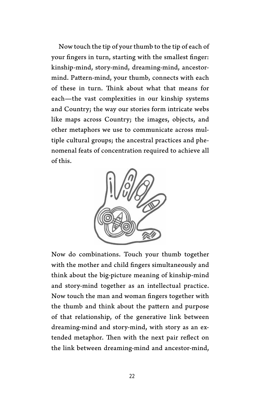Now touch the tip of your thumb to the tip of each of your fingers in turn, starting with the smallest finger: kinship-mind, story-mind, dreaming-mind, ancestormind. Pattern-mind, your thumb, connects with each of these in turn. Think about what that means for each—the vast complexities in our kinship systems and Country; the way our stories form intricate webs like maps across Country; the images, objects, and other metaphors we use to communicate across multiple cultural groups; the ancestral practices and phenomenal feats of concentration required to achieve all of this.



Now do combinations. Touch your thumb together with the mother and child fingers simultaneously and think about the big-picture meaning of kinship-mind and story-mind together as an intellectual practice. Now touch the man and woman fingers together with the thumb and think about the pattern and purpose of that relationship, of the generative link between dreaming-mind and story-mind, with story as an extended metaphor. Then with the next pair reflect on the link between dreaming-mind and ancestor-mind,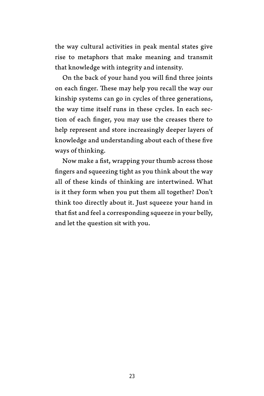the way cultural activities in peak mental states give rise to metaphors that make meaning and transmit that knowledge with integrity and intensity.

On the back of your hand you will find three joints on each finger. These may help you recall the way our kinship systems can go in cycles of three generations, the way time itself runs in these cycles. In each section of each finger, you may use the creases there to help represent and store increasingly deeper layers of knowledge and understanding about each of these five ways of thinking.

Now make a fist, wrapping your thumb across those fingers and squeezing tight as you think about the way all of these kinds of thinking are intertwined. What is it they form when you put them all together? Don't think too directly about it. Just squeeze your hand in that fist and feel a corresponding squeeze in your belly, and let the question sit with you.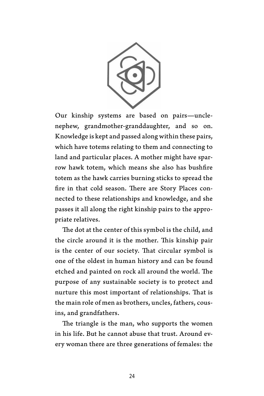Our kinship systems are based on pairs—unclenephew, grandmother-granddaughter, and so on. Knowledge is kept and passed along within these pairs, which have totems relating to them and connecting to land and particular places. A mother might have sparrow hawk totem, which means she also has bushfire totem as the hawk carries burning sticks to spread the fire in that cold season. There are Story Places connected to these relationships and knowledge, and she passes it all along the right kinship pairs to the appropriate relatives.

The dot at the center of this symbol is the child, and the circle around it is the mother. This kinship pair is the center of our society. That circular symbol is one of the oldest in human history and can be found etched and painted on rock all around the world. The purpose of any sustainable society is to protect and nurture this most important of relationships. That is the main role of men as brothers, uncles, fathers, cousins, and grandfathers.

The triangle is the man, who supports the women in his life. But he cannot abuse that trust. Around every woman there are three generations of females: the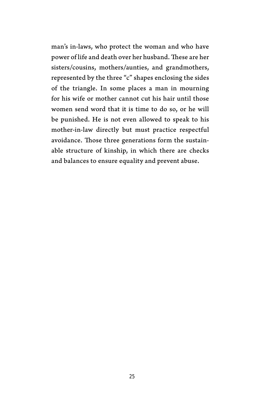man's in-laws, who protect the woman and who have power of life and death over her husband. These are her sisters/cousins, mothers/aunties, and grandmothers, represented by the three "c" shapes enclosing the sides of the triangle. In some places a man in mourning for his wife or mother cannot cut his hair until those women send word that it is time to do so, or he will be punished. He is not even allowed to speak to his mother-in-law directly but must practice respectful avoidance. Those three generations form the sustainable structure of kinship, in which there are checks and balances to ensure equality and prevent abuse.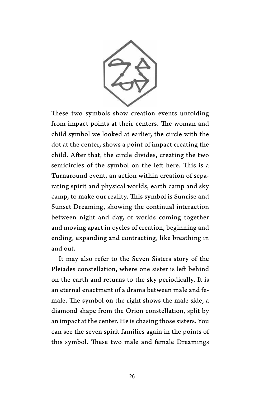

These two symbols show creation events unfolding from impact points at their centers. The woman and child symbol we looked at earlier, the circle with the dot at the center, shows a point of impact creating the child. After that, the circle divides, creating the two semicircles of the symbol on the left here. This is a Turnaround event, an action within creation of separating spirit and physical worlds, earth camp and sky camp, to make our reality. This symbol is Sunrise and Sunset Dreaming, showing the continual interaction between night and day, of worlds coming together and moving apart in cycles of creation, beginning and ending, expanding and contracting, like breathing in and out.

It may also refer to the Seven Sisters story of the Pleiades constellation, where one sister is left behind on the earth and returns to the sky periodically. It is an eternal enactment of a drama between male and female. The symbol on the right shows the male side, a diamond shape from the Orion constellation, split by an impact at the center. He is chasing those sisters. You can see the seven spirit families again in the points of this symbol. These two male and female Dreamings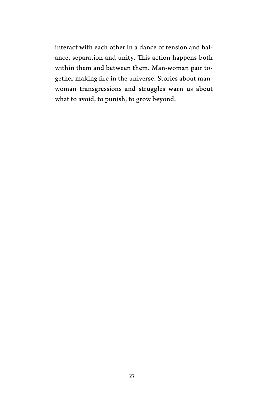interact with each other in a dance of tension and balance, separation and unity. This action happens both within them and between them. Man-woman pair together making fire in the universe. Stories about manwoman transgressions and struggles warn us about what to avoid, to punish, to grow beyond.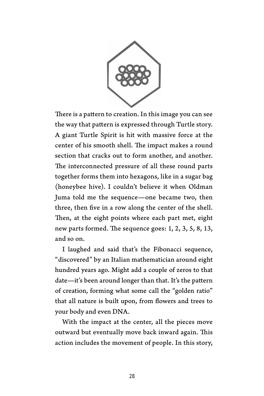

There is a pattern to creation. In this image you can see the way that pattern is expressed through Turtle story. A giant Turtle Spirit is hit with massive force at the center of his smooth shell. The impact makes a round section that cracks out to form another, and another. The interconnected pressure of all these round parts together forms them into hexagons, like in a sugar bag (honeybee hive). I couldn't believe it when Oldman Juma told me the sequence—one became two, then three, then five in a row along the center of the shell. Then, at the eight points where each part met, eight new parts formed. The sequence goes: 1, 2, 3, 5, 8, 13, and so on.

I laughed and said that's the Fibonacci sequence, "discovered" by an Italian mathematician around eight hundred years ago. Might add a couple of zeros to that date—it's been around longer than that. It's the pattern of creation, forming what some call the "golden ratio" that all nature is built upon, from flowers and trees to your body and even DNA.

With the impact at the center, all the pieces move outward but eventually move back inward again. This action includes the movement of people. In this story,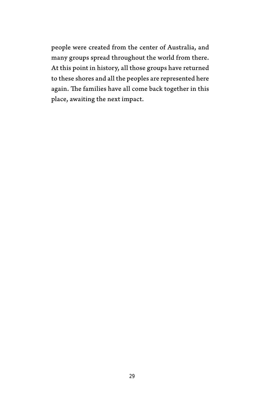people were created from the center of Australia, and many groups spread throughout the world from there. At this point in history, all those groups have returned to these shores and all the peoples are represented here again. The families have all come back together in this place, awaiting the next impact.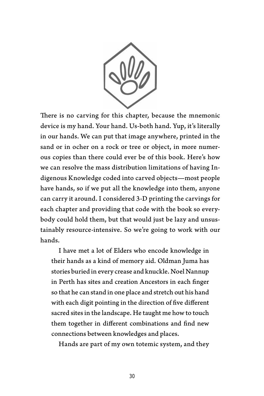

There is no carving for this chapter, because the mnemonic device is my hand. Your hand. Us-both hand. Yup, it's literally in our hands. We can put that image anywhere, printed in the sand or in ocher on a rock or tree or object, in more numerous copies than there could ever be of this book. Here's how we can resolve the mass distribution limitations of having Indigenous Knowledge coded into carved objects—most people have hands, so if we put all the knowledge into them, anyone can carry it around. I considered 3-D printing the carvings for each chapter and providing that code with the book so everybody could hold them, but that would just be lazy and unsustainably resource-intensive. So we're going to work with our hands.

I have met a lot of Elders who encode knowledge in their hands as a kind of memory aid. Oldman Juma has stories buried in every crease and knuckle. Noel Nannup in Perth has sites and creation Ancestors in each finger so that he can stand in one place and stretch out his hand with each digit pointing in the direction of five different sacred sites in the landscape. He taught me how to touch them together in different combinations and find new connections between knowledges and places.

Hands are part of my own totemic system, and they